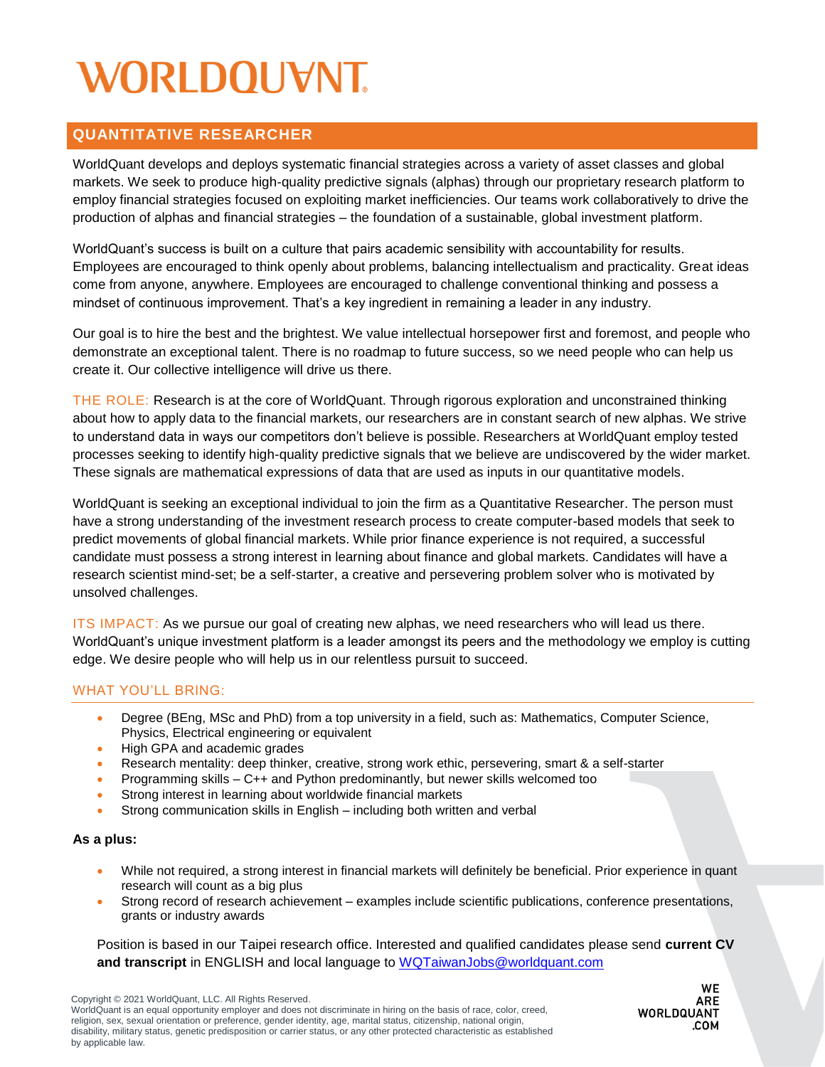# WORLDOUVNT

### **QUANTITATIVE RESEARCHER**

WorldQuant develops and deploys systematic financial strategies across a variety of asset classes and global markets. We seek to produce high-quality predictive signals (alphas) through our proprietary research platform to employ financial strategies focused on exploiting market inefficiencies. Our teams work collaboratively to drive the production of alphas and financial strategies – the foundation of a sustainable, global investment platform.

WorldQuant's success is built on a culture that pairs academic sensibility with accountability for results. Employees are encouraged to think openly about problems, balancing intellectualism and practicality. Great ideas come from anyone, anywhere. Employees are encouraged to challenge conventional thinking and possess a mindset of continuous improvement. That's a key ingredient in remaining a leader in any industry.

Our goal is to hire the best and the brightest. We value intellectual horsepower first and foremost, and people who demonstrate an exceptional talent. There is no roadmap to future success, so we need people who can help us create it. Our collective intelligence will drive us there.

THE ROLE: Research is at the core of WorldQuant. Through rigorous exploration and unconstrained thinking about how to apply data to the financial markets, our researchers are in constant search of new alphas. We strive to understand data in ways our competitors don't believe is possible. Researchers at WorldQuant employ tested processes seeking to identify high-quality predictive signals that we believe are undiscovered by the wider market. These signals are mathematical expressions of data that are used as inputs in our quantitative models.

WorldQuant is seeking an exceptional individual to join the firm as a Quantitative Researcher. The person must have a strong understanding of the investment research process to create computer-based models that seek to predict movements of global financial markets. While prior finance experience is not required, a successful candidate must possess a strong interest in learning about finance and global markets. Candidates will have a research scientist mind-set; be a self-starter, a creative and persevering problem solver who is motivated by unsolved challenges.

ITS IMPACT: As we pursue our goal of creating new alphas, we need researchers who will lead us there. WorldQuant's unique investment platform is a leader amongst its peers and the methodology we employ is cutting edge. We desire people who will help us in our relentless pursuit to succeed.

#### WHAT YOU'LL BRING:

- Degree (BEng, MSc and PhD) from a top university in a field, such as: Mathematics, Computer Science, Physics, Electrical engineering or equivalent
- High GPA and academic grades
- Research mentality: deep thinker, creative, strong work ethic, persevering, smart & a self-starter
- Programming skills C++ and Python predominantly, but newer skills welcomed too
- Strong interest in learning about worldwide financial markets
- Strong communication skills in English including both written and verbal

#### **As a plus:**

- While not required, a strong interest in financial markets will definitely be beneficial. Prior experience in quant research will count as a big plus
- Strong record of research achievement examples include scientific publications, conference presentations, grants or industry awards

Position is based in our Taipei research office. Interested and qualified candidates please send **current CV and transcript** in ENGLISH and local language to [WQTaiwanJobs@worldquant.com](mailto:WQTaiwanJobs@worldquant.com)

Copyright © 2021 WorldQuant, LLC. All Rights Reserved. WorldQuant is an equal opportunity employer and does not discriminate in hiring on the basis of race, color, creed, religion, sex, sexual orientation or preference, gender identity, age, marital status, citizenship, national origin, disability, military status, genetic predisposition or carrier status, or any other protected characteristic as established by applicable law.

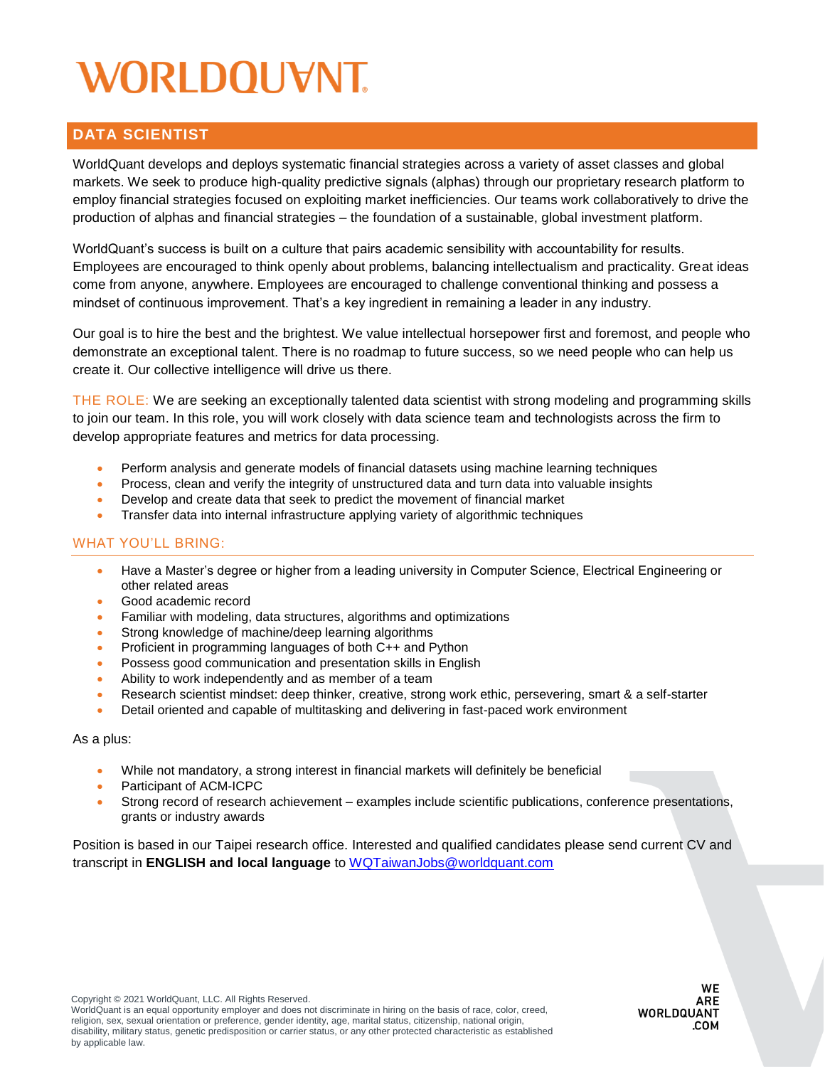# WORLDOUVNT

### **DATA SCIENTIST**

WorldQuant develops and deploys systematic financial strategies across a variety of asset classes and global markets. We seek to produce high-quality predictive signals (alphas) through our proprietary research platform to employ financial strategies focused on exploiting market inefficiencies. Our teams work collaboratively to drive the production of alphas and financial strategies – the foundation of a sustainable, global investment platform.

WorldQuant's success is built on a culture that pairs academic sensibility with accountability for results. Employees are encouraged to think openly about problems, balancing intellectualism and practicality. Great ideas come from anyone, anywhere. Employees are encouraged to challenge conventional thinking and possess a mindset of continuous improvement. That's a key ingredient in remaining a leader in any industry.

Our goal is to hire the best and the brightest. We value intellectual horsepower first and foremost, and people who demonstrate an exceptional talent. There is no roadmap to future success, so we need people who can help us create it. Our collective intelligence will drive us there.

THE ROLE: We are seeking an exceptionally talented data scientist with strong modeling and programming skills to join our team. In this role, you will work closely with data science team and technologists across the firm to develop appropriate features and metrics for data processing.

- Perform analysis and generate models of financial datasets using machine learning techniques
- Process, clean and verify the integrity of unstructured data and turn data into valuable insights
- Develop and create data that seek to predict the movement of financial market
- Transfer data into internal infrastructure applying variety of algorithmic techniques

#### WHAT YOU'LL BRING:

- Have a Master's degree or higher from a leading university in Computer Science, Electrical Engineering or other related areas
- Good academic record
- Familiar with modeling, data structures, algorithms and optimizations
- Strong knowledge of machine/deep learning algorithms
- Proficient in programming languages of both C++ and Python
- Possess good communication and presentation skills in English
- Ability to work independently and as member of a team
- Research scientist mindset: deep thinker, creative, strong work ethic, persevering, smart & a self-starter
- Detail oriented and capable of multitasking and delivering in fast-paced work environment

As a plus:

- While not mandatory, a strong interest in financial markets will definitely be beneficial
- Participant of ACM-ICPC
- Strong record of research achievement examples include scientific publications, conference presentations, grants or industry awards

Position is based in our Taipei research office. Interested and qualified candidates please send current CV and transcript in **ENGLISH and local language** to [WQTaiwanJobs@worldquant.com](file:///C:/Users/ccipriani/AppData/Local/Microsoft/Windows/INetCache/Content.Outlook/F502WFPM/WQTaiwanJobs@worldquant.com)

WorldQuant is an equal opportunity employer and does not discriminate in hiring on the basis of race, color, creed, religion, sex, sexual orientation or preference, gender identity, age, marital status, citizenship, national origin, disability, military status, genetic predisposition or carrier status, or any other protected characteristic as established by applicable law.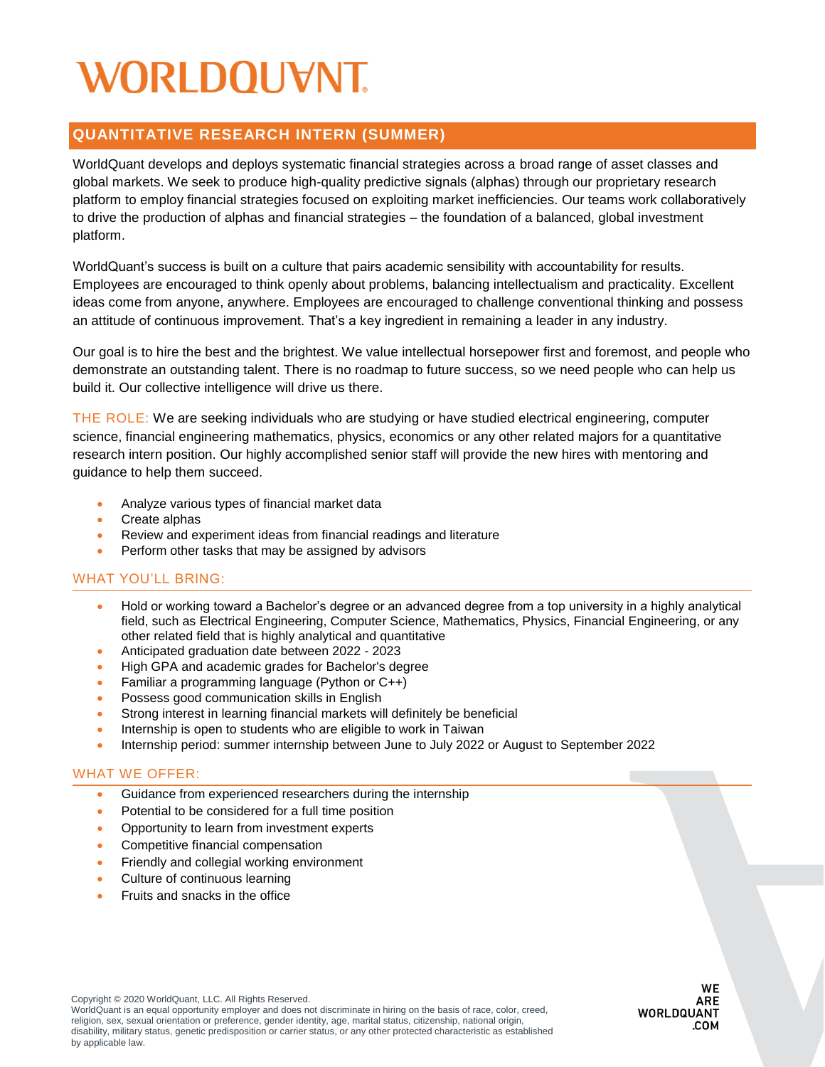## WORLDOUVNT

## **QUANTITATIVE RESEARCH INTERN (SUMMER)**

WorldQuant develops and deploys systematic financial strategies across a broad range of asset classes and global markets. We seek to produce high-quality predictive signals (alphas) through our proprietary research platform to employ financial strategies focused on exploiting market inefficiencies. Our teams work collaboratively to drive the production of alphas and financial strategies – the foundation of a balanced, global investment platform.

WorldQuant's success is built on a culture that pairs academic sensibility with accountability for results. Employees are encouraged to think openly about problems, balancing intellectualism and practicality. Excellent ideas come from anyone, anywhere. Employees are encouraged to challenge conventional thinking and possess an attitude of continuous improvement. That's a key ingredient in remaining a leader in any industry.

Our goal is to hire the best and the brightest. We value intellectual horsepower first and foremost, and people who demonstrate an outstanding talent. There is no roadmap to future success, so we need people who can help us build it. Our collective intelligence will drive us there.

THE ROLE: We are seeking individuals who are studying or have studied electrical engineering, computer science, financial engineering mathematics, physics, economics or any other related majors for a quantitative research intern position. Our highly accomplished senior staff will provide the new hires with mentoring and guidance to help them succeed.

- Analyze various types of financial market data
- Create alphas
- Review and experiment ideas from financial readings and literature
- Perform other tasks that may be assigned by advisors

#### WHAT YOU'LL BRING:

- Hold or working toward a Bachelor's degree or an advanced degree from a top university in a highly analytical field, such as Electrical Engineering, Computer Science, Mathematics, Physics, Financial Engineering, or any other related field that is highly analytical and quantitative
- Anticipated graduation date between 2022 2023
- High GPA and academic grades for Bachelor's degree
- Familiar a programming language (Python or C++)
- Possess good communication skills in English
- Strong interest in learning financial markets will definitely be beneficial
- Internship is open to students who are eligible to work in Taiwan
- Internship period: summer internship between June to July 2022 or August to September 2022

#### WHAT WE OFFER:

- Guidance from experienced researchers during the internship
- Potential to be considered for a full time position
- Opportunity to learn from investment experts
- Competitive financial compensation
- **•** Friendly and collegial working environment
- Culture of continuous learning
- Fruits and snacks in the office

WorldQuant is an equal opportunity employer and does not discriminate in hiring on the basis of race, color, creed, religion, sex, sexual orientation or preference, gender identity, age, marital status, citizenship, national origin, disability, military status, genetic predisposition or carrier status, or any other protected characteristic as established by applicable law.